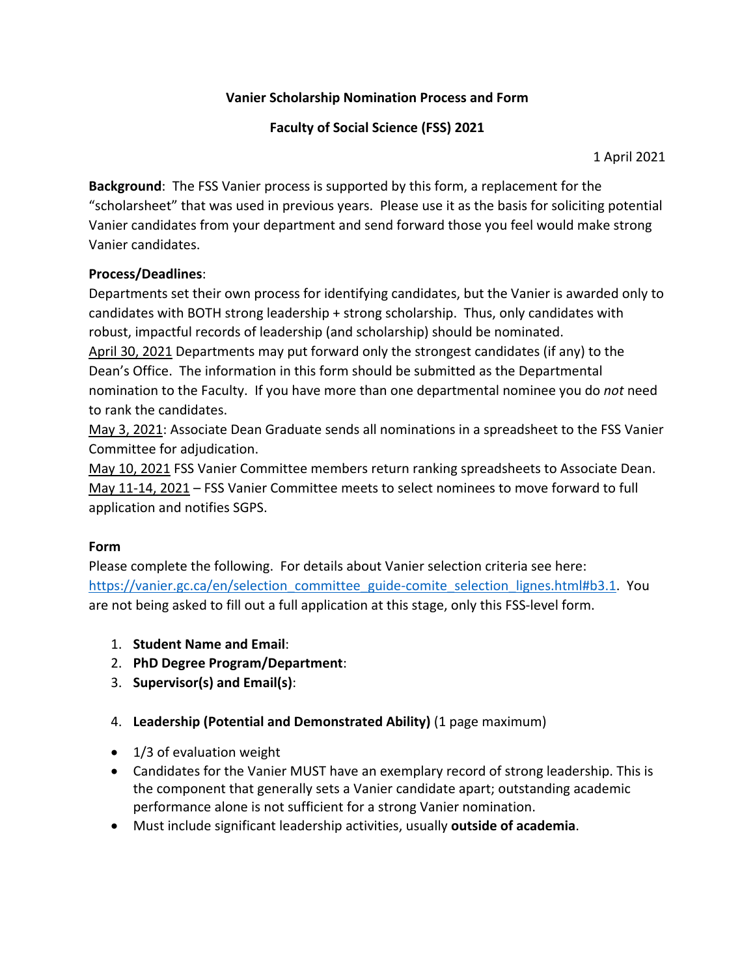## **Vanier Scholarship Nomination Process and Form**

## **Faculty of Social Science (FSS) 2021**

1 April 2021

**Background**: The FSS Vanier process is supported by this form, a replacement for the "scholarsheet" that was used in previous years. Please use it as the basis for soliciting potential Vanier candidates from your department and send forward those you feel would make strong Vanier candidates.

## **Process/Deadlines**:

Departments set their own process for identifying candidates, but the Vanier is awarded only to candidates with BOTH strong leadership + strong scholarship. Thus, only candidates with robust, impactful records of leadership (and scholarship) should be nominated.

April 30, 2021 Departments may put forward only the strongest candidates (if any) to the Dean's Office. The information in this form should be submitted as the Departmental nomination to the Faculty. If you have more than one departmental nominee you do *not* need to rank the candidates.

May 3, 2021: Associate Dean Graduate sends all nominations in a spreadsheet to the FSS Vanier Committee for adjudication.

May 10, 2021 FSS Vanier Committee members return ranking spreadsheets to Associate Dean. May 11-14, 2021 – FSS Vanier Committee meets to select nominees to move forward to full application and notifies SGPS.

## **Form**

Please complete the following. For details about Vanier selection criteria see here: [https://vanier.gc.ca/en/selection\\_committee\\_guide-comite\\_selection\\_lignes.html#b3.1.](https://vanier.gc.ca/en/selection_committee_guide-comite_selection_lignes.html#b3.1) You are not being asked to fill out a full application at this stage, only this FSS-level form.

- 1. **Student Name and Email**:
- 2. **PhD Degree Program/Department**:
- 3. **Supervisor(s) and Email(s)**:
- 4. **Leadership (Potential and Demonstrated Ability)** (1 page maximum)
- 1/3 of evaluation weight
- Candidates for the Vanier MUST have an exemplary record of strong leadership. This is the component that generally sets a Vanier candidate apart; outstanding academic performance alone is not sufficient for a strong Vanier nomination.
- Must include significant leadership activities, usually **outside of academia**.